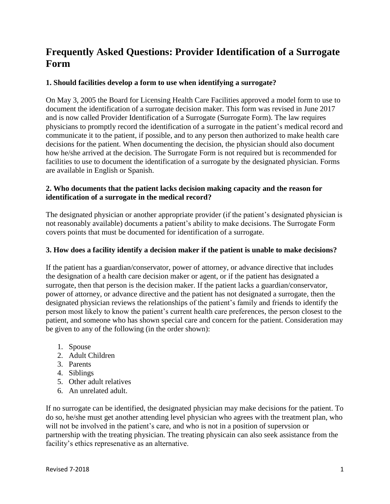# **Frequently Asked Questions: Provider Identification of a Surrogate Form**

## **1. Should facilities develop a form to use when identifying a surrogate?**

On May 3, 2005 the Board for Licensing Health Care Facilities approved a model form to use to document the identification of a surrogate decision maker. This form was revised in June 2017 and is now called Provider Identification of a Surrogate (Surrogate Form). The law requires physicians to promptly record the identification of a surrogate in the patient's medical record and communicate it to the patient, if possible, and to any person then authorized to make health care decisions for the patient. When documenting the decision, the physician should also document how he/she arrived at the decision. The Surrogate Form is not required but is recommended for facilities to use to document the identification of a surrogate by the designated physician. Forms are available in English or Spanish.

#### **2. Who documents that the patient lacks decision making capacity and the reason for identification of a surrogate in the medical record?**

The designated physician or another appropriate provider (if the patient's designated physician is not reasonably available) documents a patient's ability to make decisions. The Surrogate Form covers points that must be documented for identification of a surrogate.

# **3. How does a facility identify a decision maker if the patient is unable to make decisions?**

If the patient has a guardian/conservator, power of attorney, or advance directive that includes the designation of a health care decision maker or agent, or if the patient has designated a surrogate, then that person is the decision maker. If the patient lacks a guardian/conservator, power of attorney, or advance directive and the patient has not designated a surrogate, then the designated physician reviews the relationships of the patient's family and friends to identify the person most likely to know the patient's current health care preferences, the person closest to the patient, and someone who has shown special care and concern for the patient. Consideration may be given to any of the following (in the order shown):

- 1. Spouse
- 2. Adult Children
- 3. Parents
- 4. Siblings
- 5. Other adult relatives
- 6. An unrelated adult.

If no surrogate can be identified, the designated physician may make decisions for the patient. To do so, he/she must get another attending level physician who agrees with the treatment plan, who will not be involved in the patient's care, and who is not in a position of supervsion or partnership with the treating physician. The treating physicain can also seek assistance from the facility's ethics represenative as an alternative.